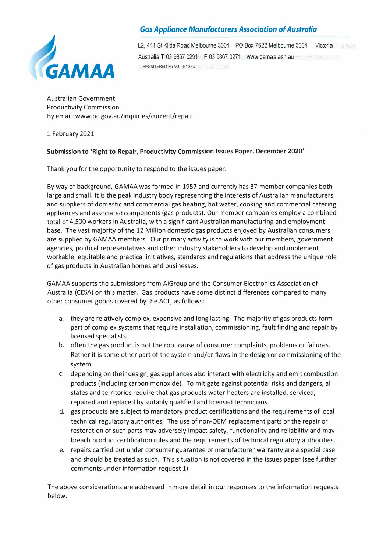

# *Gas Appliance Manufacturers Association of Australia*

L2, 441 St Kilda Road Melbourne 3004 PO Box 7622 Melbourne 3004 Victoria Australia T 03 9867 0291 F 03 9867 0271 www.gamaa.asn.au REGISTERED No A00 381 33U

Australian Government Productivity Commission By email: www.pc.gov.au/inquiries/current/repair

1 February 2021

### **Submission to 'Right to Repair, Productivity Commission Issues Paper, December 2020'**

Thank you for the opportunity to respond to the issues paper.

By way of background, GAMAA was formed in 1957 and currently has 37 member companies both large and small. It is the peak industry body representing the interests of Australian manufacturers and suppliers of domestic and commercial gas heating, hot water, cooking and commercial catering appliances and associated components (gas products). Our member companies employ a combined total of 4,500 workers in Australia, with a significant Australian manufacturing and employment base. The vast majority of the 12 Million domestic gas products enjoyed by Australian consumers are supplied by GAMAA members. Our primary activity is to work with our members, government agencies, political representatives and other industry stakeholders to develop and implement workable, equitable and practical initiatives, standards and regulations that address the unique role of gas products in Australian homes and businesses.

GAMAA supports the submissions from AiGroup and the Consumer Electronics Association of Australia (CESA) on this matter. Gas products have some distinct differences compared to many other consumer goods covered by the ACL, as follows:

- a. they are relatively complex, expensive and long lasting. The majority of gas products form part of complex systems that require installation, commissioning, fault finding and repair by licensed specialists.
- b. often the gas product is not the root cause of consumer complaints, problems or failures. Rather it is some other part of the system and/or flaws in the design or commissioning of the system.
- c. depending on their design, gas appliances also interact with electricity and emit combustion products (including carbon monoxide). To mitigate against potential risks and dangers, all states and territories require that gas products water heaters are installed, serviced, repaired and replaced by suitably qualified and licensed technicians.
- d. gas products are subject to mandatory product certifications and the requirements of local technical regulatory authorities. The use of non-OEM replacement parts or the repair or restoration of such parts may adversely impact safety, functionality and reliability and may breach product certification rules and the requirements of technical regulatory authorities.
- e. repairs carried out under consumer guarantee or manufacturer warranty are a special case and should be treated as such. This situation is not covered in the issues paper (see further comments under information request 1).

The above considerations are addressed in more detail in our responses to the information requests below.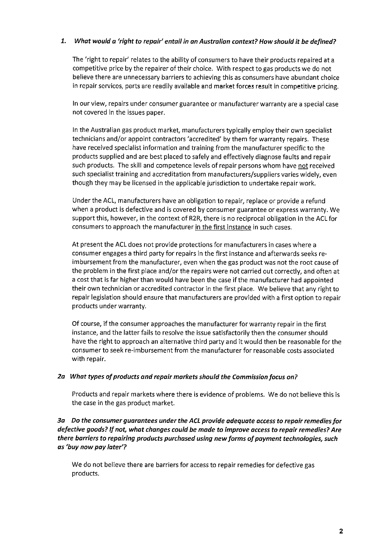### 1. What would a 'right to repair' entail in an Australian context? How should it be defined?

The 'right to repair' relates to the ability of consumers to have their products repaired at a competitive price by the repairer of their choice. With respect to gas products we do not believe there are unnecessary barriers to achieving this as consumers have abundant choice in repair services, parts are readily available and market forces result in competitive pricing.

In our view, repairs under consumer guarantee or manufacturer warranty are a special case not covered in the issues paper.

In the Australian gas product market, manufacturers typically employ their own specialist technicians and/or appoint contractors 'accredited' by them for warranty repairs. These have received specialist information and training from the manufacturer specific to the products supplied and are best placed to safely and effectively diagnose faults and repair such products. The skill and competence levels of repair persons whom have not received such specialist training and accreditation from manufacturers/suppliers varies widely, even though they may be licensed in the applicable jurisdiction to undertake repair work.

Under the ACL, manufacturers have an obligation to repair, replace or provide a refund when a product is defective and is covered by consumer guarantee or express warranty. We support this, however, in the context of R2R, there is no reciprocal obligation in the ACL for consumers to approach the manufacturer in the first instance in such cases.

At present the ACL does not provide protections for manufacturers in cases where a consumer engages a third party for repairs in the first instance and afterwards seeks reimbursement from the manufacturer, even when the gas product was not the root cause of the problem in the first place and/or the repairs were not carried out correctly, and often at a cost that is far higher than would have been the case if the manufacturer had appointed their own technician or accredited contractor in the first place. We believe that any right to repair legislation should ensure that manufacturers are provided with a first option to repair products under warranty.

Of course, if the consumer approaches the manufacturer for warranty repair in the first instance, and the latter fails to resolve the issue satisfactorily then the consumer should have the right to approach an alternative third party and it would then be reasonable for the consumer to seek re-imbursement from the manufacturer for reasonable costs associated with repair.

### 2a What types of products and repair markets should the Commission focus on?

Products and repair markets where there is evidence of problems. We do not believe this is the case in the gas product market.

3a Do the consumer guarantees under the ACL provide adequate access to repair remedies for defective goods? If not, what changes could be made to improve access to repair remedies? Are there barriers to repairing products purchased using new forms of payment technologies, such as 'buy now pay later'?

We do not believe there are barriers for access to repair remedies for defective gas products.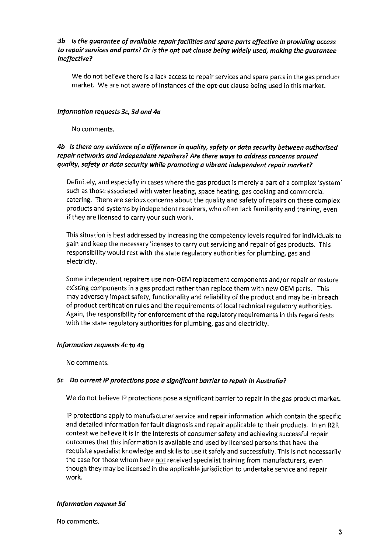## 3b Is the guarantee of available repair facilities and spare parts effective in providing access to repair services and parts? Or is the opt out clause being widely used, making the guarantee ineffective?

We do not believe there is a lack access to repair services and spare parts in the gas product market. We are not aware of instances of the opt-out clause being used in this market.

### Information requests 3c, 3d and 4a

No comments.

## 4b Is there any evidence of a difference in quality, safety or data security between authorised repair networks and independent repairers? Are there ways to address concerns around quality, safety or data security while promoting a vibrant independent repair market?

Definitely, and especially in cases where the gas product is merely a part of a complex 'system' such as those associated with water heating, space heating, gas cooking and commercial catering. There are serious concerns about the quality and safety of repairs on these complex products and systems by independent repairers, who often lack familiarity and training, even if they are licensed to carry your such work.

This situation is best addressed by increasing the competency levels required for individuals to gain and keep the necessary licenses to carry out servicing and repair of gas products. This responsibility would rest with the state regulatory authorities for plumbing, gas and electricity.

Some independent repairers use non-OEM replacement components and/or repair or restore existing components in a gas product rather than replace them with new OEM parts. This may adversely impact safety, functionality and reliability of the product and may be in breach of product certification rules and the requirements of local technical regulatory authorities. Again, the responsibility for enforcement of the regulatory requirements in this regard rests with the state regulatory authorities for plumbing, gas and electricity.

### Information requests 4c to 4g

No comments.

### 5c Do current IP protections pose a significant barrier to repair in Australia?

We do not believe IP protections pose a significant barrier to repair in the gas product market.

IP protections apply to manufacturer service and repair information which contain the specific and detailed information for fault diagnosis and repair applicable to their products. In an R2R context we believe it is in the interests of consumer safety and achieving successful repair outcomes that this information is available and used by licensed persons that have the requisite specialist knowledge and skills to use it safely and successfully. This is not necessarily the case for those whom have not received specialist training from manufacturers, even though they may be licensed in the applicable jurisdiction to undertake service and repair work.

### **Information request 5d**

No comments.